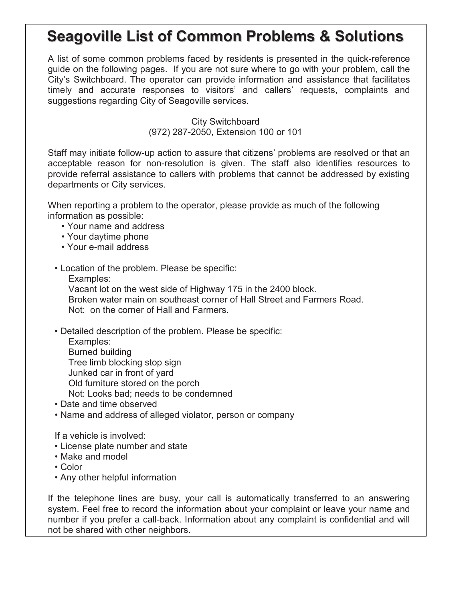## **Seagoville List of Common Problems & Solutions**

 A list of some common problems faced by residents is presented in the quick-reference guide on the following pages. If you are not sure where to go with your problem, call the City's Switchboard. The operator can provide information and assistance that facilitates timely and accurate responses to visitors' and callers' requests, complaints and suggestions regarding City of Seagoville services.

> City Switchboard (972) 287-2050, Extension 100 or 101

 Staff may initiate follow-up action to assure that citizens' problems are resolved or that an acceptable reason for non-resolution is given. The staff also identifies resources to provide referral assistance to callers with problems that cannot be addressed by existing departments or City services.

 When reporting a problem to the operator, please provide as much of the following information as possible:

- Your name and address
- Your daytime phone
- Your e-mail address

• Location of the problem. Please be specific:

Examples:

 Vacant lot on the west side of Highway 175 in the 2400 block. Broken water main on southeast corner of Hall Street and Farmers Road. Not: on the corner of Hall and Farmers.

- Detailed description of the problem. Please be specific:
	- Examples: Burned building Tree limb blocking stop sign Junked car in front of yard Old furniture stored on the porch Not: Looks bad; needs to be condemned
- Date and time observed
- Name and address of alleged violator, person or company

If a vehicle is involved:

- License plate number and state
- Make and model
- Color
- Any other helpful information

 If the telephone lines are busy, your call is automatically transferred to an answering system. Feel free to record the information about your complaint or leave your name and number if you prefer a call-back. Information about any complaint is confidential and will not be shared with other neighbors.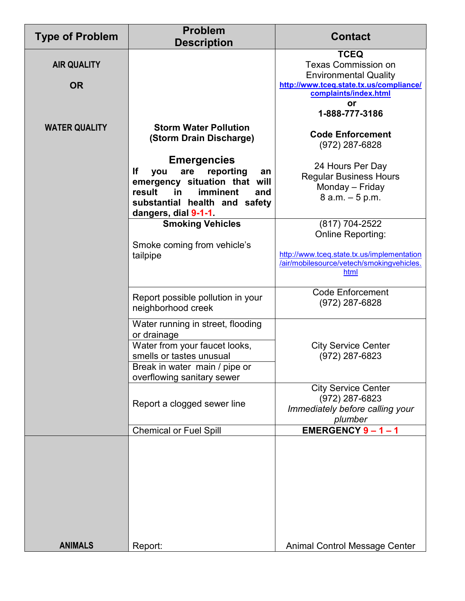| <b>Type of Problem</b>          | <b>Problem</b><br><b>Description</b>                                                                                                                                                                                                              | <b>Contact</b>                                                                                                                                                        |
|---------------------------------|---------------------------------------------------------------------------------------------------------------------------------------------------------------------------------------------------------------------------------------------------|-----------------------------------------------------------------------------------------------------------------------------------------------------------------------|
| <b>AIR QUALITY</b><br><b>OR</b> |                                                                                                                                                                                                                                                   | <b>TCEQ</b><br><b>Texas Commission on</b><br><b>Environmental Quality</b><br>http://www.tceq.state.tx.us/compliance/<br>complaints/index.html<br>or<br>1-888-777-3186 |
| <b>WATER QUALITY</b>            | <b>Storm Water Pollution</b><br>(Storm Drain Discharge)<br><b>Emergencies</b><br>lf<br>are<br>reporting<br>you<br>an<br>emergency situation that will<br>result<br>imminent<br>in<br>and<br>substantial health and safety<br>dangers, dial 9-1-1. | <b>Code Enforcement</b><br>(972) 287-6828<br>24 Hours Per Day<br><b>Regular Business Hours</b><br>Monday - Friday<br>$8$ a.m. $-5$ p.m.                               |
|                                 | <b>Smoking Vehicles</b><br>Smoke coming from vehicle's<br>tailpipe                                                                                                                                                                                | (817) 704-2522<br>Online Reporting:<br>http://www.tceq.state.tx.us/implementation<br>/air/mobilesource/vetech/smokingvehicles.<br>html                                |
|                                 | Report possible pollution in your<br>neighborhood creek                                                                                                                                                                                           | <b>Code Enforcement</b><br>(972) 287-6828                                                                                                                             |
|                                 | Water running in street, flooding<br>or drainage<br>Water from your faucet looks,<br>smells or tastes unusual<br>Break in water main / pipe or<br>overflowing sanitary sewer                                                                      | <b>City Service Center</b><br>(972) 287-6823                                                                                                                          |
|                                 | Report a clogged sewer line                                                                                                                                                                                                                       | <b>City Service Center</b><br>(972) 287-6823<br>Immediately before calling your<br>plumber                                                                            |
|                                 | <b>Chemical or Fuel Spill</b>                                                                                                                                                                                                                     | EMERGENCY 9-1-1                                                                                                                                                       |
| <b>ANIMALS</b>                  | Report:                                                                                                                                                                                                                                           | Animal Control Message Center                                                                                                                                         |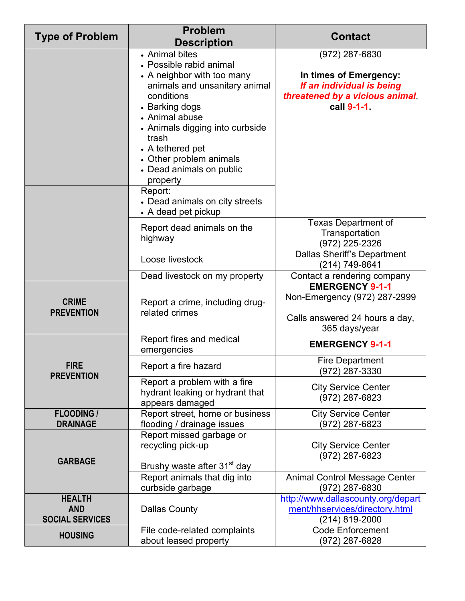| <b>Type of Problem</b>                                | <b>Problem</b><br><b>Description</b>                                                                                                                                                                                                                                                                     | <b>Contact</b>                                                                                                          |
|-------------------------------------------------------|----------------------------------------------------------------------------------------------------------------------------------------------------------------------------------------------------------------------------------------------------------------------------------------------------------|-------------------------------------------------------------------------------------------------------------------------|
|                                                       | • Animal bites<br>• Possible rabid animal<br>• A neighbor with too many<br>animals and unsanitary animal<br>conditions<br>• Barking dogs<br>• Animal abuse<br>• Animals digging into curbside<br>trash<br>• A tethered pet<br>• Other problem animals<br>• Dead animals on public<br>property<br>Report: | (972) 287-6830<br>In times of Emergency:<br>If an individual is being<br>threatened by a vicious animal,<br>call 9-1-1. |
|                                                       | • Dead animals on city streets<br>• A dead pet pickup<br>Report dead animals on the                                                                                                                                                                                                                      | <b>Texas Department of</b>                                                                                              |
|                                                       | highway                                                                                                                                                                                                                                                                                                  | Transportation<br>(972) 225-2326                                                                                        |
|                                                       | Loose livestock                                                                                                                                                                                                                                                                                          | <b>Dallas Sheriff's Department</b><br>(214) 749-8641                                                                    |
|                                                       | Dead livestock on my property                                                                                                                                                                                                                                                                            | Contact a rendering company                                                                                             |
| <b>CRIME</b><br><b>PREVENTION</b>                     | Report a crime, including drug-<br>related crimes                                                                                                                                                                                                                                                        | <b>EMERGENCY 9-1-1</b><br>Non-Emergency (972) 287-2999<br>Calls answered 24 hours a day,<br>365 days/year               |
|                                                       | Report fires and medical<br>emergencies                                                                                                                                                                                                                                                                  | <b>EMERGENCY 9-1-1</b>                                                                                                  |
| <b>FIRE</b><br><b>PREVENTION</b>                      | Report a fire hazard                                                                                                                                                                                                                                                                                     | Fire Department<br>(972) 287-3330                                                                                       |
|                                                       | Report a problem with a fire<br>hydrant leaking or hydrant that<br>appears damaged                                                                                                                                                                                                                       | <b>City Service Center</b><br>(972) 287-6823                                                                            |
| <b>FLOODING /</b><br><b>DRAINAGE</b>                  | Report street, home or business<br>flooding / drainage issues                                                                                                                                                                                                                                            | <b>City Service Center</b><br>(972) 287-6823                                                                            |
| <b>GARBAGE</b>                                        | Report missed garbage or<br>recycling pick-up<br>Brushy waste after 31 <sup>st</sup> day                                                                                                                                                                                                                 | <b>City Service Center</b><br>(972) 287-6823                                                                            |
|                                                       | Report animals that dig into<br>curbside garbage                                                                                                                                                                                                                                                         | <b>Animal Control Message Center</b><br>(972) 287-6830                                                                  |
| <b>HEALTH</b><br><b>AND</b><br><b>SOCIAL SERVICES</b> | <b>Dallas County</b>                                                                                                                                                                                                                                                                                     | http://www.dallascounty.org/depart<br>ment/hhservices/directory.html<br>(214) 819-2000                                  |
| <b>HOUSING</b>                                        | File code-related complaints<br>about leased property                                                                                                                                                                                                                                                    | <b>Code Enforcement</b><br>(972) 287-6828                                                                               |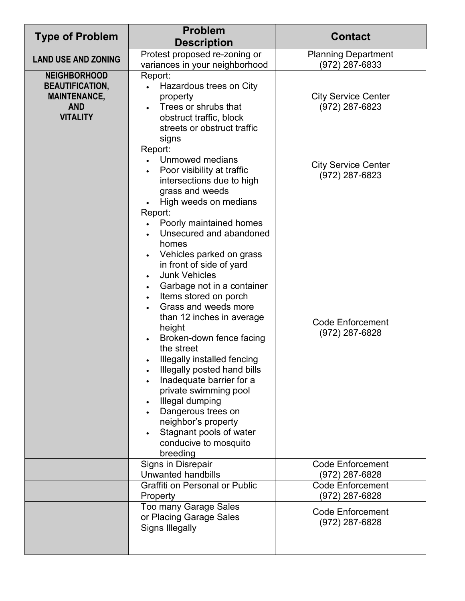| <b>Type of Problem</b>                                                                                | <b>Problem</b>                                                                                                                                                                                                                                                                                                                                                                                                                                                                                                                                                                         | <b>Contact</b>                               |
|-------------------------------------------------------------------------------------------------------|----------------------------------------------------------------------------------------------------------------------------------------------------------------------------------------------------------------------------------------------------------------------------------------------------------------------------------------------------------------------------------------------------------------------------------------------------------------------------------------------------------------------------------------------------------------------------------------|----------------------------------------------|
|                                                                                                       | <b>Description</b>                                                                                                                                                                                                                                                                                                                                                                                                                                                                                                                                                                     |                                              |
| <b>LAND USE AND ZONING</b>                                                                            | Protest proposed re-zoning or<br>variances in your neighborhood                                                                                                                                                                                                                                                                                                                                                                                                                                                                                                                        | <b>Planning Department</b><br>(972) 287-6833 |
| <b>NEIGHBORHOOD</b><br><b>BEAUTIFICATION,</b><br><b>MAINTENANCE,</b><br><b>AND</b><br><b>VITALITY</b> | Report:<br>Hazardous trees on City<br>$\bullet$<br>property<br>Trees or shrubs that<br>obstruct traffic, block<br>streets or obstruct traffic<br>signs                                                                                                                                                                                                                                                                                                                                                                                                                                 | <b>City Service Center</b><br>(972) 287-6823 |
|                                                                                                       | Report:<br>• Unmowed medians<br>Poor visibility at traffic<br>intersections due to high<br>grass and weeds<br>High weeds on medians                                                                                                                                                                                                                                                                                                                                                                                                                                                    | <b>City Service Center</b><br>(972) 287-6823 |
|                                                                                                       | Report:<br>Poorly maintained homes<br>Unsecured and abandoned<br>homes<br>Vehicles parked on grass<br>in front of side of yard<br><b>Junk Vehicles</b><br>Garbage not in a container<br>Items stored on porch<br>$\bullet$<br>Grass and weeds more<br>than 12 inches in average<br>height<br>Broken-down fence facing<br>the street<br>Illegally installed fencing<br>Illegally posted hand bills<br>Inadequate barrier for a<br>private swimming pool<br>Illegal dumping<br>Dangerous trees on<br>neighbor's property<br>Stagnant pools of water<br>conducive to mosquito<br>breeding | <b>Code Enforcement</b><br>(972) 287-6828    |
|                                                                                                       | Signs in Disrepair<br>Unwanted handbills                                                                                                                                                                                                                                                                                                                                                                                                                                                                                                                                               | <b>Code Enforcement</b><br>(972) 287-6828    |
|                                                                                                       | Graffiti on Personal or Public<br>Property                                                                                                                                                                                                                                                                                                                                                                                                                                                                                                                                             | <b>Code Enforcement</b><br>(972) 287-6828    |
|                                                                                                       | Too many Garage Sales<br>or Placing Garage Sales<br><b>Signs Illegally</b>                                                                                                                                                                                                                                                                                                                                                                                                                                                                                                             | <b>Code Enforcement</b><br>(972) 287-6828    |
|                                                                                                       |                                                                                                                                                                                                                                                                                                                                                                                                                                                                                                                                                                                        |                                              |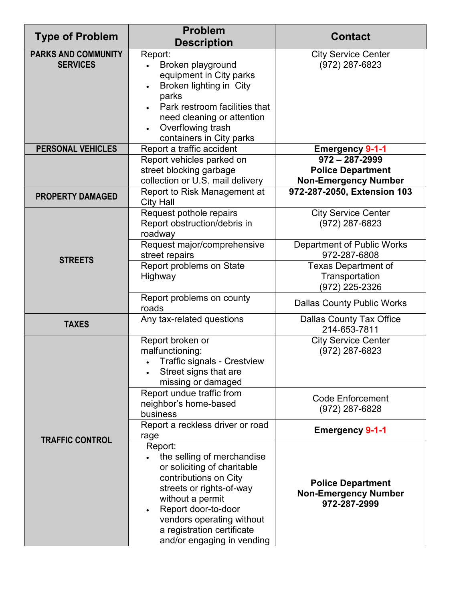| <b>Type of Problem</b>                        | <b>Problem</b><br><b>Description</b>                                                                                                                                                                                                                          | <b>Contact</b>                                                                                               |
|-----------------------------------------------|---------------------------------------------------------------------------------------------------------------------------------------------------------------------------------------------------------------------------------------------------------------|--------------------------------------------------------------------------------------------------------------|
| <b>PARKS AND COMMUNITY</b><br><b>SERVICES</b> | Report:<br>Broken playground<br>equipment in City parks<br>Broken lighting in City<br>parks<br>Park restroom facilities that<br>need cleaning or attention<br>Overflowing trash<br>containers in City parks                                                   | <b>City Service Center</b><br>(972) 287-6823                                                                 |
| <b>PERSONAL VEHICLES</b>                      | Report a traffic accident                                                                                                                                                                                                                                     | <b>Emergency 9-1-1</b>                                                                                       |
| <b>PROPERTY DAMAGED</b>                       | Report vehicles parked on<br>street blocking garbage<br>collection or U.S. mail delivery<br>Report to Risk Management at                                                                                                                                      | $972 - 287 - 2999$<br><b>Police Department</b><br><b>Non-Emergency Number</b><br>972-287-2050, Extension 103 |
|                                               | <b>City Hall</b><br>Request pothole repairs<br>Report obstruction/debris in<br>roadway                                                                                                                                                                        | <b>City Service Center</b><br>(972) 287-6823                                                                 |
| <b>STREETS</b>                                | Request major/comprehensive<br>street repairs                                                                                                                                                                                                                 | Department of Public Works<br>972-287-6808                                                                   |
|                                               | Report problems on State<br>Highway                                                                                                                                                                                                                           | <b>Texas Department of</b><br>Transportation<br>(972) 225-2326                                               |
|                                               | Report problems on county<br>roads                                                                                                                                                                                                                            | <b>Dallas County Public Works</b>                                                                            |
| <b>TAXES</b>                                  | Any tax-related questions                                                                                                                                                                                                                                     | <b>Dallas County Tax Office</b><br>214-653-7811                                                              |
|                                               | Report broken or<br>malfunctioning:<br><b>Traffic signals - Crestview</b><br>Street signs that are<br>missing or damaged                                                                                                                                      | <b>City Service Center</b><br>(972) 287-6823                                                                 |
|                                               | Report undue traffic from<br>neighbor's home-based<br>business                                                                                                                                                                                                | <b>Code Enforcement</b><br>(972) 287-6828                                                                    |
| <b>TRAFFIC CONTROL</b>                        | Report a reckless driver or road<br>rage                                                                                                                                                                                                                      | <b>Emergency 9-1-1</b>                                                                                       |
|                                               | Report:<br>the selling of merchandise<br>or soliciting of charitable<br>contributions on City<br>streets or rights-of-way<br>without a permit<br>Report door-to-door<br>vendors operating without<br>a registration certificate<br>and/or engaging in vending | <b>Police Department</b><br><b>Non-Emergency Number</b><br>972-287-2999                                      |